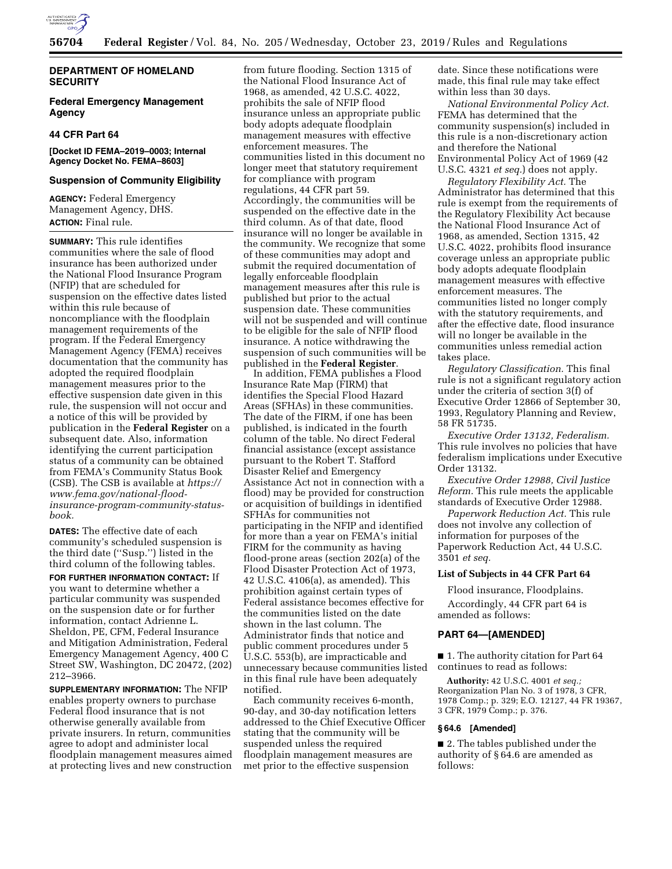

# **DEPARTMENT OF HOMELAND SECURITY**

# **Federal Emergency Management Agency**

# **44 CFR Part 64**

# **[Docket ID FEMA–2019–0003; Internal Agency Docket No. FEMA–8603]**

## **Suspension of Community Eligibility**

**AGENCY:** Federal Emergency Management Agency, DHS. **ACTION:** Final rule.

**SUMMARY:** This rule identifies communities where the sale of flood insurance has been authorized under the National Flood Insurance Program (NFIP) that are scheduled for suspension on the effective dates listed within this rule because of noncompliance with the floodplain management requirements of the program. If the Federal Emergency Management Agency (FEMA) receives documentation that the community has adopted the required floodplain management measures prior to the effective suspension date given in this rule, the suspension will not occur and a notice of this will be provided by publication in the **Federal Register** on a subsequent date. Also, information identifying the current participation status of a community can be obtained from FEMA's Community Status Book (CSB). The CSB is available at *[https://](https://www.fema.gov/national-flood-insurance-program-community-status-book)  [www.fema.gov/national-flood](https://www.fema.gov/national-flood-insurance-program-community-status-book)[insurance-program-community-status](https://www.fema.gov/national-flood-insurance-program-community-status-book)[book.](https://www.fema.gov/national-flood-insurance-program-community-status-book)* 

**DATES:** The effective date of each community's scheduled suspension is the third date (''Susp.'') listed in the third column of the following tables.

**FOR FURTHER INFORMATION CONTACT:** If you want to determine whether a particular community was suspended on the suspension date or for further information, contact Adrienne L. Sheldon, PE, CFM, Federal Insurance and Mitigation Administration, Federal Emergency Management Agency, 400 C Street SW, Washington, DC 20472, (202) 212–3966.

**SUPPLEMENTARY INFORMATION:** The NFIP enables property owners to purchase Federal flood insurance that is not otherwise generally available from private insurers. In return, communities agree to adopt and administer local floodplain management measures aimed at protecting lives and new construction

from future flooding. Section 1315 of the National Flood Insurance Act of 1968, as amended, 42 U.S.C. 4022, prohibits the sale of NFIP flood insurance unless an appropriate public body adopts adequate floodplain management measures with effective enforcement measures. The communities listed in this document no longer meet that statutory requirement for compliance with program regulations, 44 CFR part 59. Accordingly, the communities will be suspended on the effective date in the third column. As of that date, flood insurance will no longer be available in the community. We recognize that some of these communities may adopt and submit the required documentation of legally enforceable floodplain management measures after this rule is published but prior to the actual suspension date. These communities will not be suspended and will continue to be eligible for the sale of NFIP flood insurance. A notice withdrawing the suspension of such communities will be published in the **Federal Register**.

In addition, FEMA publishes a Flood Insurance Rate Map (FIRM) that identifies the Special Flood Hazard Areas (SFHAs) in these communities. The date of the FIRM, if one has been published, is indicated in the fourth column of the table. No direct Federal financial assistance (except assistance pursuant to the Robert T. Stafford Disaster Relief and Emergency Assistance Act not in connection with a flood) may be provided for construction or acquisition of buildings in identified SFHAs for communities not participating in the NFIP and identified for more than a year on FEMA's initial FIRM for the community as having flood-prone areas (section 202(a) of the Flood Disaster Protection Act of 1973, 42 U.S.C. 4106(a), as amended). This prohibition against certain types of Federal assistance becomes effective for the communities listed on the date shown in the last column. The Administrator finds that notice and public comment procedures under 5 U.S.C. 553(b), are impracticable and unnecessary because communities listed in this final rule have been adequately notified.

Each community receives 6-month, 90-day, and 30-day notification letters addressed to the Chief Executive Officer stating that the community will be suspended unless the required floodplain management measures are met prior to the effective suspension

date. Since these notifications were made, this final rule may take effect within less than 30 days.

*National Environmental Policy Act.*  FEMA has determined that the community suspension(s) included in this rule is a non-discretionary action and therefore the National Environmental Policy Act of 1969 (42 U.S.C. 4321 *et seq.*) does not apply.

*Regulatory Flexibility Act.* The Administrator has determined that this rule is exempt from the requirements of the Regulatory Flexibility Act because the National Flood Insurance Act of 1968, as amended, Section 1315, 42 U.S.C. 4022, prohibits flood insurance coverage unless an appropriate public body adopts adequate floodplain management measures with effective enforcement measures. The communities listed no longer comply with the statutory requirements, and after the effective date, flood insurance will no longer be available in the communities unless remedial action takes place.

*Regulatory Classification.* This final rule is not a significant regulatory action under the criteria of section 3(f) of Executive Order 12866 of September 30, 1993, Regulatory Planning and Review, 58 FR 51735.

*Executive Order 13132, Federalism.*  This rule involves no policies that have federalism implications under Executive Order 13132.

*Executive Order 12988, Civil Justice Reform.* This rule meets the applicable standards of Executive Order 12988.

*Paperwork Reduction Act.* This rule does not involve any collection of information for purposes of the Paperwork Reduction Act, 44 U.S.C. 3501 *et seq.* 

#### **List of Subjects in 44 CFR Part 64**

Flood insurance, Floodplains.

Accordingly, 44 CFR part 64 is amended as follows:

### **PART 64—[AMENDED]**

■ 1. The authority citation for Part 64 continues to read as follows:

**Authority:** 42 U.S.C. 4001 *et seq.;*  Reorganization Plan No. 3 of 1978, 3 CFR, 1978 Comp.; p. 329; E.O. 12127, 44 FR 19367, 3 CFR, 1979 Comp.; p. 376.

### **§ 64.6 [Amended]**

■ 2. The tables published under the authority of § 64.6 are amended as follows: